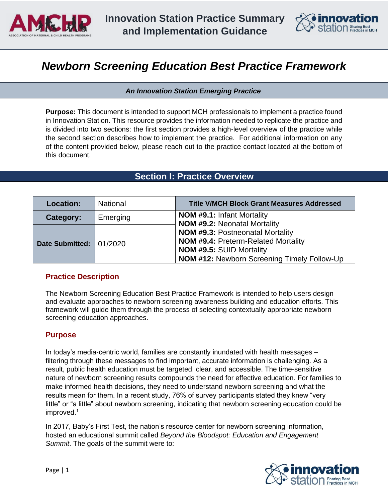



# *Newborn Screening Education Best Practice Framework*

*An Innovation Station Emerging Practice* 

**Purpose:** This document is intended to support MCH professionals to implement a practice found in Innovation Station. This resource provides the information needed to replicate the practice and is divided into two sections: the first section provides a high-level overview of the practice while the second section describes how to implement the practice. For additional information on any of the content provided below, please reach out to the practice contact located at the bottom of this document.

## **Section I: Practice Overview**

| <b>Location:</b>        | <b>National</b> | <b>Title V/MCH Block Grant Measures Addressed</b>                                                                                                                              |
|-------------------------|-----------------|--------------------------------------------------------------------------------------------------------------------------------------------------------------------------------|
| Category:               | Emerging        | <b>NOM #9.1: Infant Mortality</b><br><b>NOM #9.2: Neonatal Mortality</b>                                                                                                       |
| Date Submitted: 01/2020 |                 | <b>NOM #9.3: Postneonatal Mortality</b><br><b>NOM #9.4: Preterm-Related Mortality</b><br><b>NOM #9.5: SUID Mortality</b><br><b>NOM #12: Newborn Screening Timely Follow-Up</b> |

## **Practice Description**

The Newborn Screening Education Best Practice Framework is intended to help users design and evaluate approaches to newborn screening awareness building and education efforts. This framework will guide them through the process of selecting contextually appropriate newborn screening education approaches.

## **Purpose**

In today's media-centric world, families are constantly inundated with health messages – filtering through these messages to find important, accurate information is challenging. As a result, public health education must be targeted, clear, and accessible. The time-sensitive nature of newborn screening results compounds the need for effective education. For families to make informed health decisions, they need to understand newborn screening and what the results mean for them. In a recent study, 76% of survey participants stated they knew "very little" or "a little" about newborn screening, indicating that newborn screening education could be improved.<sup>1</sup>

In 2017, Baby's First Test, the nation's resource center for newborn screening information, hosted an educational summit called *Beyond the Bloodspot: Education and Engagement Summit*. The goals of the summit were to:

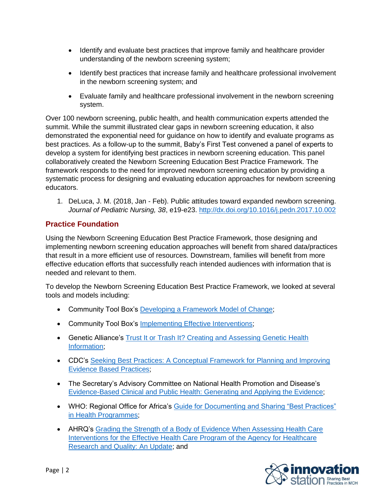- Identify and evaluate best practices that improve family and healthcare provider understanding of the newborn screening system;
- Identify best practices that increase family and healthcare professional involvement in the newborn screening system; and
- Evaluate family and healthcare professional involvement in the newborn screening system.

Over 100 newborn screening, public health, and health communication experts attended the summit. While the summit illustrated clear gaps in newborn screening education, it also demonstrated the exponential need for guidance on how to identify and evaluate programs as best practices. As a follow-up to the summit, Baby's First Test convened a panel of experts to develop a system for identifying best practices in newborn screening education. This panel collaboratively created the Newborn Screening Education Best Practice Framework. The framework responds to the need for improved newborn screening education by providing a systematic process for designing and evaluating education approaches for newborn screening educators.

1. DeLuca, J. M. (2018, Jan - Feb). Public attitudes toward expanded newborn screening. *Journal of Pediatric Nursing, 38*, e19-e23.<http://dx.doi.org/10.1016/j.pedn.2017.10.002>

## **Practice Foundation**

Using the Newborn Screening Education Best Practice Framework, those designing and implementing newborn screening education approaches will benefit from shared data/practices that result in a more efficient use of resources. Downstream, families will benefit from more effective education efforts that successfully reach intended audiences with information that is needed and relevant to them.

To develop the Newborn Screening Education Best Practice Framework, we looked at several tools and models including:

- Community Tool Box's [Developing a Framework Model of Change;](https://ctb.ku.edu/en/best-change-processes/developing-a-framework-or-model-of-change/overview)
- Community Tool Box's [Implementing Effective Interventions;](https://ctb.ku.edu/en/best-change-processes/implementing-effective-interventions/overview)
- Genetic Alliance's Trust It or Trash It? Creating and Assessing Genetic Health [Information;](https://www.ncbi.nlm.nih.gov/books/NBK115535/)
- CDC's [Seeking Best Practices: A Conceptual Framework for Planning and Improving](https://www.cdc.gov/pcd/issues/2013/13_0186.htm)  [Evidence Based Practices;](https://www.cdc.gov/pcd/issues/2013/13_0186.htm)
- The Secretary's Advisory Committee on National Health Promotion and Disease's [Evidence-Based Clinical and Public Health: Generating and Applying the Evidence;](https://www.healthypeople.gov/2010/hp2020/advisory/pdfs/EvidenceBasedClinicalPH2010.pdf)
- WHO: Regional Office for Africa's [Guide for Documenting and Sharing "Best Practices"](http://afrolib.afro.who.int/documents/2009/en/GuideBestPractice.pdf)  [in Health Programmes;](http://afrolib.afro.who.int/documents/2009/en/GuideBestPractice.pdf)
- AHRQ's [Grading the Strength of a Body of Evidence When Assessing Health Care](https://www.ncbi.nlm.nih.gov/books/NBK174881/)  [Interventions for the Effective Health Care Program of the Agency for Healthcare](https://www.ncbi.nlm.nih.gov/books/NBK174881/)  [Research and Quality: An Update;](https://www.ncbi.nlm.nih.gov/books/NBK174881/) and

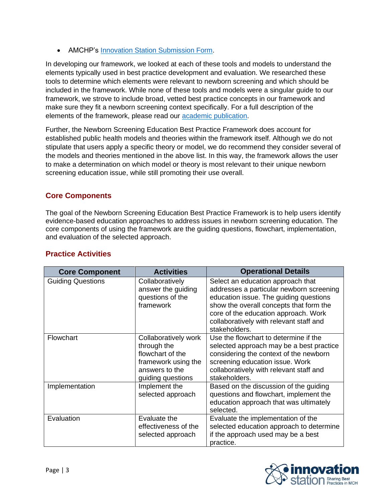• AMCHP's **Innovation Station Submission Form.** 

In developing our framework, we looked at each of these tools and models to understand the elements typically used in best practice development and evaluation. We researched these tools to determine which elements were relevant to newborn screening and which should be included in the framework. While none of these tools and models were a singular guide to our framework, we strove to include broad, vetted best practice concepts in our framework and make sure they fit a newborn screening context specifically. For a full description of the elements of the framework, please read our [academic publication.](https://www.mdpi.com/2409-515X/5/2/22/htm)

Further, the Newborn Screening Education Best Practice Framework does account for established public health models and theories within the framework itself. Although we do not stipulate that users apply a specific theory or model, we do recommend they consider several of the models and theories mentioned in the above list. In this way, the framework allows the user to make a determination on which model or theory is most relevant to their unique newborn screening education issue, while still promoting their use overall.

## **Core Components**

The goal of the Newborn Screening Education Best Practice Framework is to help users identify evidence-based education approaches to address issues in newborn screening education. The core components of using the framework are the guiding questions, flowchart, implementation, and evaluation of the selected approach.

| <b>Core Component</b>    | <b>Activities</b>                                                                                                     | <b>Operational Details</b>                                                                                                                                                                                                                                             |  |
|--------------------------|-----------------------------------------------------------------------------------------------------------------------|------------------------------------------------------------------------------------------------------------------------------------------------------------------------------------------------------------------------------------------------------------------------|--|
| <b>Guiding Questions</b> | Collaboratively<br>answer the guiding<br>questions of the<br>framework                                                | Select an education approach that<br>addresses a particular newborn screening<br>education issue. The guiding questions<br>show the overall concepts that form the<br>core of the education approach. Work<br>collaboratively with relevant staff and<br>stakeholders. |  |
| Flowchart                | Collaboratively work<br>through the<br>flowchart of the<br>framework using the<br>answers to the<br>guiding questions | Use the flowchart to determine if the<br>selected approach may be a best practice<br>considering the context of the newborn<br>screening education issue. Work<br>collaboratively with relevant staff and<br>stakeholders.                                             |  |
| Implementation           | Implement the<br>selected approach                                                                                    | Based on the discussion of the guiding<br>questions and flowchart, implement the<br>education approach that was ultimately<br>selected.                                                                                                                                |  |
| Evaluation               | Evaluate the<br>effectiveness of the<br>selected approach                                                             | Evaluate the implementation of the<br>selected education approach to determine<br>if the approach used may be a best<br>practice.                                                                                                                                      |  |

## **Practice Activities**

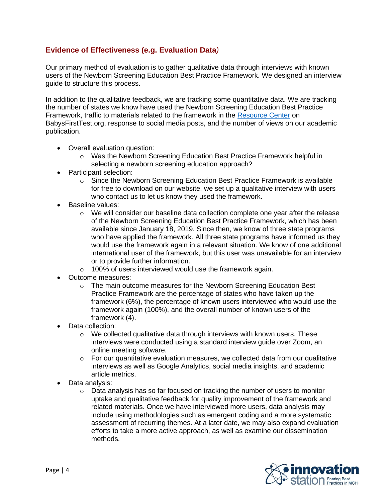## **Evidence of Effectiveness (e.g. Evaluation Data***)*

Our primary method of evaluation is to gather qualitative data through interviews with known users of the Newborn Screening Education Best Practice Framework. We designed an interview guide to structure this process.

In addition to the qualitative feedback, we are tracking some quantitative data. We are tracking the number of states we know have used the Newborn Screening Education Best Practice Framework, traffic to materials related to the framework in the [Resource Center](https://www.babysfirsttest.org/newborn-screening/resources) on BabysFirstTest.org, response to social media posts, and the number of views on our academic publication.

- Overall evaluation question:
	- o Was the Newborn Screening Education Best Practice Framework helpful in selecting a newborn screening education approach?
- Participant selection:
	- o Since the Newborn Screening Education Best Practice Framework is available for free to download on our website, we set up a qualitative interview with users who contact us to let us know they used the framework.
- Baseline values:
	- $\circ$  We will consider our baseline data collection complete one year after the release of the Newborn Screening Education Best Practice Framework, which has been available since January 18, 2019. Since then, we know of three state programs who have applied the framework. All three state programs have informed us they would use the framework again in a relevant situation. We know of one additional international user of the framework, but this user was unavailable for an interview or to provide further information.
	- o 100% of users interviewed would use the framework again.
- Outcome measures:
	- o The main outcome measures for the Newborn Screening Education Best Practice Framework are the percentage of states who have taken up the framework (6%), the percentage of known users interviewed who would use the framework again (100%), and the overall number of known users of the framework (4).
- Data collection:
	- $\circ$  We collected qualitative data through interviews with known users. These interviews were conducted using a standard interview guide over Zoom, an online meeting software.
	- $\circ$  For our quantitative evaluation measures, we collected data from our qualitative interviews as well as Google Analytics, social media insights, and academic article metrics.
- Data analysis:
	- $\circ$  Data analysis has so far focused on tracking the number of users to monitor uptake and qualitative feedback for quality improvement of the framework and related materials. Once we have interviewed more users, data analysis may include using methodologies such as emergent coding and a more systematic assessment of recurring themes. At a later date, we may also expand evaluation efforts to take a more active approach, as well as examine our dissemination methods.

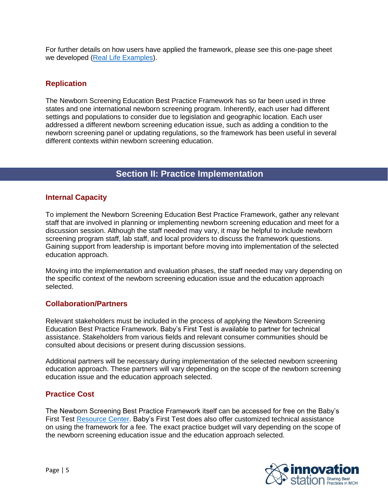For further details on how users have applied the framework, please see this one-page sheet we developed [\(Real Life Examples\)](https://www.babysfirsttest.org/newborn-screening/resources/newborn-screening-education-best-practices-framework-real-life-examples).

## **Replication**

The Newborn Screening Education Best Practice Framework has so far been used in three states and one international newborn screening program. Inherently, each user had different settings and populations to consider due to legislation and geographic location. Each user addressed a different newborn screening education issue, such as adding a condition to the newborn screening panel or updating regulations, so the framework has been useful in several different contexts within newborn screening education.

## **Section II: Practice Implementation**

## **Internal Capacity**

To implement the Newborn Screening Education Best Practice Framework, gather any relevant staff that are involved in planning or implementing newborn screening education and meet for a discussion session. Although the staff needed may vary, it may be helpful to include newborn screening program staff, lab staff, and local providers to discuss the framework questions. Gaining support from leadership is important before moving into implementation of the selected education approach.

Moving into the implementation and evaluation phases, the staff needed may vary depending on the specific context of the newborn screening education issue and the education approach selected.

## **Collaboration/Partners**

Relevant stakeholders must be included in the process of applying the Newborn Screening Education Best Practice Framework. Baby's First Test is available to partner for technical assistance. Stakeholders from various fields and relevant consumer communities should be consulted about decisions or present during discussion sessions.

Additional partners will be necessary during implementation of the selected newborn screening education approach. These partners will vary depending on the scope of the newborn screening education issue and the education approach selected.

## **Practice Cost**

The Newborn Screening Best Practice Framework itself can be accessed for free on the Baby's First Test [Resource Center.](https://www.babysfirsttest.org/newborn-screening/resources/newborn-screening-education-best-practices-framework) Baby's First Test does also offer customized technical assistance on using the framework for a fee. The exact practice budget will vary depending on the scope of the newborn screening education issue and the education approach selected.

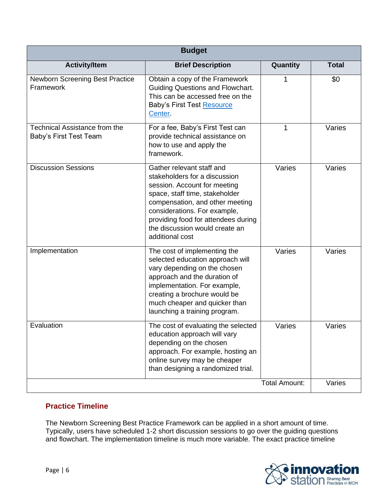| <b>Budget</b>                                                  |                                                                                                                                                                                                                                                                                             |                      |              |  |
|----------------------------------------------------------------|---------------------------------------------------------------------------------------------------------------------------------------------------------------------------------------------------------------------------------------------------------------------------------------------|----------------------|--------------|--|
| <b>Activity/Item</b>                                           | <b>Brief Description</b>                                                                                                                                                                                                                                                                    | Quantity             | <b>Total</b> |  |
| Newborn Screening Best Practice<br>Framework                   | Obtain a copy of the Framework<br><b>Guiding Questions and Flowchart.</b><br>This can be accessed free on the<br><b>Baby's First Test Resource</b><br>Center.                                                                                                                               | 1                    | \$0          |  |
| <b>Technical Assistance from the</b><br>Baby's First Test Team | For a fee, Baby's First Test can<br>provide technical assistance on<br>how to use and apply the<br>framework.                                                                                                                                                                               | 1                    | Varies       |  |
| <b>Discussion Sessions</b>                                     | Gather relevant staff and<br>stakeholders for a discussion<br>session. Account for meeting<br>space, staff time, stakeholder<br>compensation, and other meeting<br>considerations. For example,<br>providing food for attendees during<br>the discussion would create an<br>additional cost | Varies               | Varies       |  |
| Implementation                                                 | The cost of implementing the<br>selected education approach will<br>vary depending on the chosen<br>approach and the duration of<br>implementation. For example,<br>creating a brochure would be<br>much cheaper and quicker than<br>launching a training program.                          | Varies               | Varies       |  |
| Evaluation                                                     | The cost of evaluating the selected<br>education approach will vary<br>depending on the chosen<br>approach. For example, hosting an<br>online survey may be cheaper<br>than designing a randomized trial.                                                                                   | Varies               | Varies       |  |
|                                                                |                                                                                                                                                                                                                                                                                             | <b>Total Amount:</b> | Varies       |  |

## **Practice Timeline**

The Newborn Screening Best Practice Framework can be applied in a short amount of time. Typically, users have scheduled 1-2 short discussion sessions to go over the guiding questions and flowchart. The implementation timeline is much more variable. The exact practice timeline

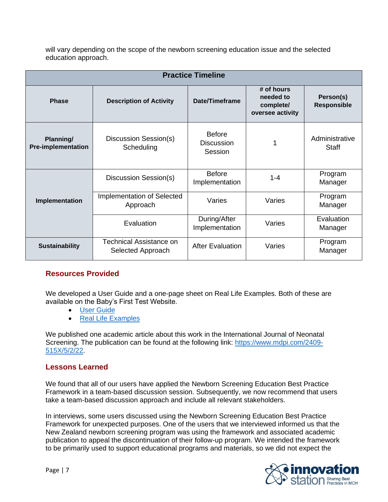will vary depending on the scope of the newborn screening education issue and the selected education approach.

| <b>Practice Timeline</b>               |                                                     |                                               |                                                          |                                 |  |
|----------------------------------------|-----------------------------------------------------|-----------------------------------------------|----------------------------------------------------------|---------------------------------|--|
| <b>Phase</b>                           | <b>Description of Activity</b>                      | Date/Timeframe                                | # of hours<br>needed to<br>complete/<br>oversee activity | Person(s)<br><b>Responsible</b> |  |
| Planning/<br><b>Pre-implementation</b> | Discussion Session(s)<br>Scheduling                 | <b>Before</b><br><b>Discussion</b><br>Session |                                                          | Administrative<br><b>Staff</b>  |  |
|                                        | Discussion Session(s)                               | <b>Before</b><br>Implementation               | $1 - 4$                                                  | Program<br>Manager              |  |
| Implementation                         | Implementation of Selected<br>Approach              | Varies                                        | Varies                                                   | Program<br>Manager              |  |
|                                        | Evaluation                                          | During/After<br>Implementation                | Varies                                                   | Evaluation<br>Manager           |  |
| <b>Sustainability</b>                  | <b>Technical Assistance on</b><br>Selected Approach | <b>After Evaluation</b>                       | Varies                                                   | Program<br>Manager              |  |

## **Resources Provided**

We developed a User Guide and a one-page sheet on Real Life Examples. Both of these are available on the Baby's First Test Website.

- [User Guide](https://www.babysfirsttest.org/newborn-screening/resources/newborn-screening-education-best-practices-framework)
- [Real Life Examples](https://www.babysfirsttest.org/newborn-screening/resources/newborn-screening-education-best-practices-framework-real-life-examples)

We published one academic article about this work in the International Journal of Neonatal Screening. The publication can be found at the following link: [https://www.mdpi.com/2409-](https://www.mdpi.com/2409-515X/5/2/22) [515X/5/2/22.](https://www.mdpi.com/2409-515X/5/2/22)

## **Lessons Learned**

We found that all of our users have applied the Newborn Screening Education Best Practice Framework in a team-based discussion session. Subsequently, we now recommend that users take a team-based discussion approach and include all relevant stakeholders.

In interviews, some users discussed using the Newborn Screening Education Best Practice Framework for unexpected purposes. One of the users that we interviewed informed us that the New Zealand newborn screening program was using the framework and associated academic publication to appeal the discontinuation of their follow-up program. We intended the framework to be primarily used to support educational programs and materials, so we did not expect the